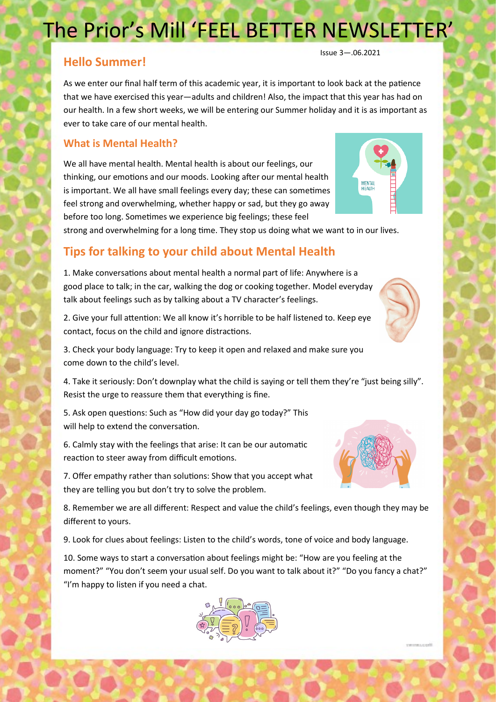### The Prior's Mill 'FEEL BETTER NEWSLETTER'

### **Hello Summer!**

As we enter our final half term of this academic year, it is important to look back at the patience that we have exercised this year—adults and children! Also, the impact that this year has had on our health. In a few short weeks, we will be entering our Summer holiday and it is as important as ever to take care of our mental health.

### **What is Mental Health?**

We all have mental health. Mental health is about our feelings, our thinking, our emotions and our moods. Looking after our mental health is important. We all have small feelings every day; these can sometimes feel strong and overwhelming, whether happy or sad, but they go away before too long. Sometimes we experience big feelings; these feel

strong and overwhelming for a long time. They stop us doing what we want to in our lives.

### **Tips for talking to your child about Mental Health**

1. Make conversations about mental health a normal part of life: Anywhere is a good place to talk; in the car, walking the dog or cooking together. Model everyday talk about feelings such as by talking about a TV character's feelings.

2. Give your full attention: We all know it's horrible to be half listened to. Keep eye contact, focus on the child and ignore distractions.

3. Check your body language: Try to keep it open and relaxed and make sure you come down to the child's level.

4. Take it seriously: Don't downplay what the child is saying or tell them they're "just being silly". Resist the urge to reassure them that everything is fine.

5. Ask open questions: Such as "How did your day go today?" This will help to extend the conversation.

6. Calmly stay with the feelings that arise: It can be our automatic reaction to steer away from difficult emotions.

7. Offer empathy rather than solutions: Show that you accept what they are telling you but don't try to solve the problem.

8. Remember we are all different: Respect and value the child's feelings, even though they may be different to yours.

9. Look for clues about feelings: Listen to the child's words, tone of voice and body language.

10. Some ways to start a conversation about feelings might be: "How are you feeling at the moment?" "You don't seem your usual self. Do you want to talk about it?" "Do you fancy a chat?" "I'm happy to listen if you need a chat.





Issue 3—.06.2021



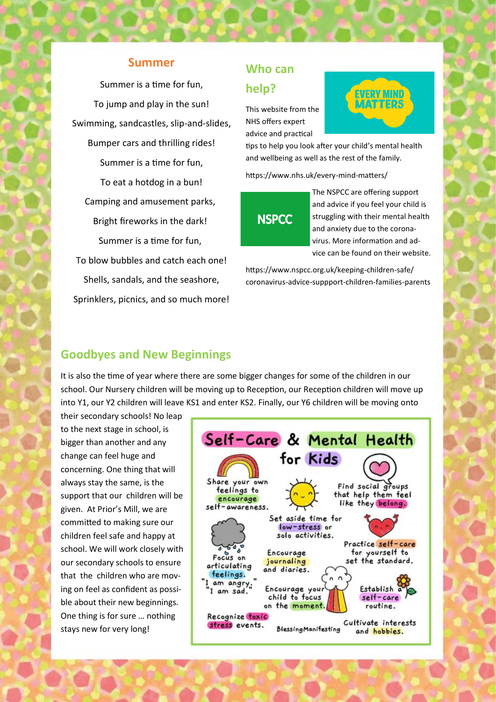#### **Summer**

Summer is a time for fun, To jump and play in the sun! Swimming, sandcastles, slip-and-slides, Bumper cars and thrilling rides! Summer is a time for fun, To eat a hotdog in a bun! Camping and amusement parks, Bright fireworks in the dark! Summer is a time for fun, To blow bubbles and catch each one! Shells, sandals, and the seashore, Sprinklers, picnics, and so much more!

### **Who can help?**

This website from the NHS offers expert advice and practical



tips to help you look after your child's mental health and wellbeing as well as the rest of the family.

https://www.nhs.uk/every-mind-matters/

# **NSPCC**

The NSPCC are offering support and advice if you feel your child is struggling with their mental health and anxiety due to the coronavirus. More information and advice can be found on their website.

https://www.nspcc.org.uk/keeping-children-safe/ coronavirus-advice-suppport-children-families-parents

### **Goodbyes and New Beginnings**

It is also the time of year where there are some bigger changes for some of the children in our school. Our Nursery children will be moving up to Reception, our Reception children will move up into Y1, our Y2 children will leave KS1 and enter KS2. Finally, our Y6 children will be moving onto

their secondary schools! No leap to the next stage in school, is bigger than another and any change can feel huge and concerning. One thing that will always stay the same, is the support that our children will be given. At Prior's Mill, we are committed to making sure our children feel safe and happy at school. We will work closely with our secondary schools to ensure that the children who are moving on feel as confident as possible about their new beginnings. One thing is for sure … nothing stays new for very long!